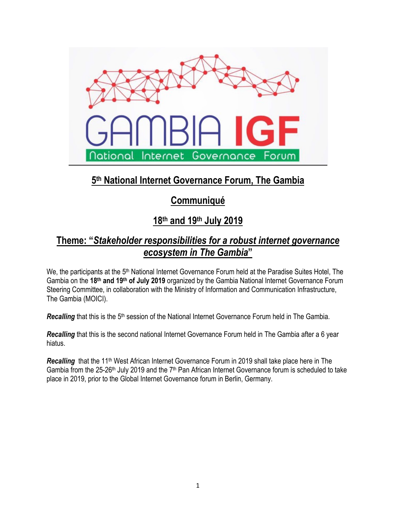

# **5th National Internet Governance Forum, The Gambia**

## **Communiqué**

# **18th and 19th July 2019**

## **Theme: "***Stakeholder responsibilities for a robust internet governance ecosystem in The Gambia***"**

We, the participants at the 5<sup>th</sup> National Internet Governance Forum held at the Paradise Suites Hotel, The Gambia on the **18th and 19th of July 2019** organized by the Gambia National Internet Governance Forum Steering Committee, in collaboration with the Ministry of Information and Communication Infrastructure, The Gambia (MOICI).

Recalling that this is the 5<sup>th</sup> session of the National Internet Governance Forum held in The Gambia.

*Recalling* that this is the second national Internet Governance Forum held in The Gambia after a 6 year hiatus.

**Recalling** that the 11<sup>th</sup> West African Internet Governance Forum in 2019 shall take place here in The Gambia from the 25-26<sup>th</sup> July 2019 and the 7<sup>th</sup> Pan African Internet Governance forum is scheduled to take place in 2019, prior to the Global Internet Governance forum in Berlin, Germany.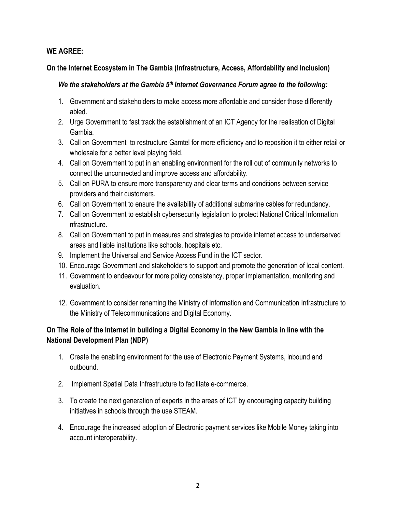### **WE AGREE:**

#### **On the Internet Ecosystem in The Gambia (Infrastructure, Access, Affordability and Inclusion)**

### *We the stakeholders at the Gambia 5th Internet Governance Forum agree to the following:*

- 1. Government and stakeholders to make access more affordable and consider those differently abled.
- 2. Urge Government to fast track the establishment of an ICT Agency for the realisation of Digital Gambia.
- 3. Call on Government to restructure Gamtel for more efficiency and to reposition it to either retail or wholesale for a better level playing field.
- 4. Call on Government to put in an enabling environment for the roll out of community networks to connect the unconnected and improve access and affordability.
- 5. Call on PURA to ensure more transparency and clear terms and conditions between service providers and their customers.
- 6. Call on Government to ensure the availability of additional submarine cables for redundancy.
- 7. Call on Government to establish cybersecurity legislation to protect National Critical Information nfrastructure.
- 8. Call on Government to put in measures and strategies to provide internet access to underserved areas and liable institutions like schools, hospitals etc.
- 9. Implement the Universal and Service Access Fund in the ICT sector.
- 10. Encourage Government and stakeholders to support and promote the generation of local content.
- 11. Government to endeavour for more policy consistency, proper implementation, monitoring and evaluation.
- 12. Government to consider renaming the Ministry of Information and Communication Infrastructure to the Ministry of Telecommunications and Digital Economy.

## **On The Role of the Internet in building a Digital Economy in the New Gambia in line with the National Development Plan (NDP)**

- 1. Create the enabling environment for the use of Electronic Payment Systems, inbound and outbound.
- 2. Implement Spatial Data Infrastructure to facilitate e-commerce.
- 3. To create the next generation of experts in the areas of ICT by encouraging capacity building initiatives in schools through the use STEAM.
- 4. Encourage the increased adoption of Electronic payment services like Mobile Money taking into account interoperability.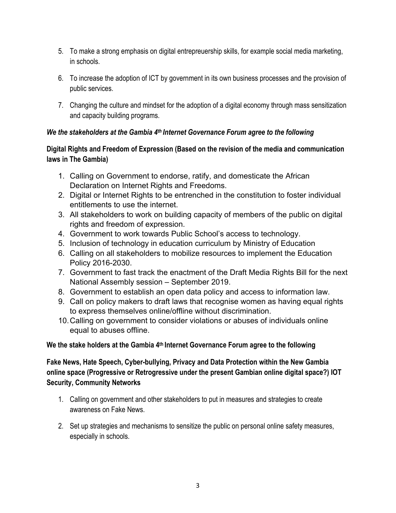- 5. To make a strong emphasis on digital entrepreuership skills, for example social media marketing, in schools.
- 6. To increase the adoption of ICT by government in its own business processes and the provision of public services.
- 7. Changing the culture and mindset for the adoption of a digital economy through mass sensitization and capacity building programs.

### *We the stakeholders at the Gambia 4th Internet Governance Forum agree to the following*

## **Digital Rights and Freedom of Expression (Based on the revision of the media and communication laws in The Gambia)**

- 1. Calling on Government to endorse, ratify, and domesticate the African Declaration on Internet Rights and Freedoms.
- 2. Digital or Internet Rights to be entrenched in the constitution to foster individual entitlements to use the internet.
- 3. All stakeholders to work on building capacity of members of the public on digital rights and freedom of expression.
- 4. Government to work towards Public School's access to technology.
- 5. Inclusion of technology in education curriculum by Ministry of Education
- 6. Calling on all stakeholders to mobilize resources to implement the Education Policy 2016-2030.
- 7. Government to fast track the enactment of the Draft Media Rights Bill for the next National Assembly session – September 2019.
- 8. Government to establish an open data policy and access to information law.
- 9. Call on policy makers to draft laws that recognise women as having equal rights to express themselves online/offline without discrimination.
- 10.Calling on government to consider violations or abuses of individuals online equal to abuses offline.

## **We the stake holders at the Gambia 4th Internet Governance Forum agree to the following**

**Fake News, Hate Speech, Cyber-bullying, Privacy and Data Protection within the New Gambia online space (Progressive or Retrogressive under the present Gambian online digital space?) IOT Security, Community Networks**

- 1. Calling on government and other stakeholders to put in measures and strategies to create awareness on Fake News.
- 2. Set up strategies and mechanisms to sensitize the public on personal online safety measures, especially in schools.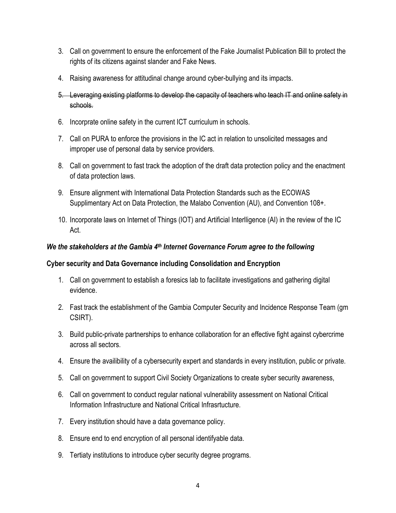- 3. Call on government to ensure the enforcement of the Fake Journalist Publication Bill to protect the rights of its citizens against slander and Fake News.
- 4. Raising awareness for attitudinal change around cyber-bullying and its impacts.
- 5. Leveraging existing platforms to develop the capacity of teachers who teach IT and online safety in schools.
- 6. Incorprate online safety in the current ICT curriculum in schools.
- 7. Call on PURA to enforce the provisions in the IC act in relation to unsolicited messages and improper use of personal data by service providers.
- 8. Call on government to fast track the adoption of the draft data protection policy and the enactment of data protection laws.
- 9. Ensure alignment with International Data Protection Standards such as the ECOWAS Supplimentary Act on Data Protection, the Malabo Convention (AU), and Convention 108+.
- 10. Incorporate laws on Internet of Things (IOT) and Artificial Interlligence (AI) in the review of the IC Act.

### *We the stakeholders at the Gambia 4th Internet Governance Forum agree to the following*

#### **Cyber security and Data Governance including Consolidation and Encryption**

- 1. Call on government to establish a foresics lab to facilitate investigations and gathering digital evidence.
- 2. Fast track the establishment of the Gambia Computer Security and Incidence Response Team (gm CSIRT).
- 3. Build public-private partnerships to enhance collaboration for an effective fight against cybercrime across all sectors.
- 4. Ensure the availibility of a cybersecurity expert and standards in every institution, public or private.
- 5. Call on government to support Civil Society Organizations to create syber security awareness,
- 6. Call on government to conduct regular national vulnerability assessment on National Critical Information Infrastructure and National Critical Infrasrtucture.
- 7. Every institution should have a data governance policy.
- 8. Ensure end to end encryption of all personal identifyable data.
- 9. Tertiaty institutions to introduce cyber security degree programs.